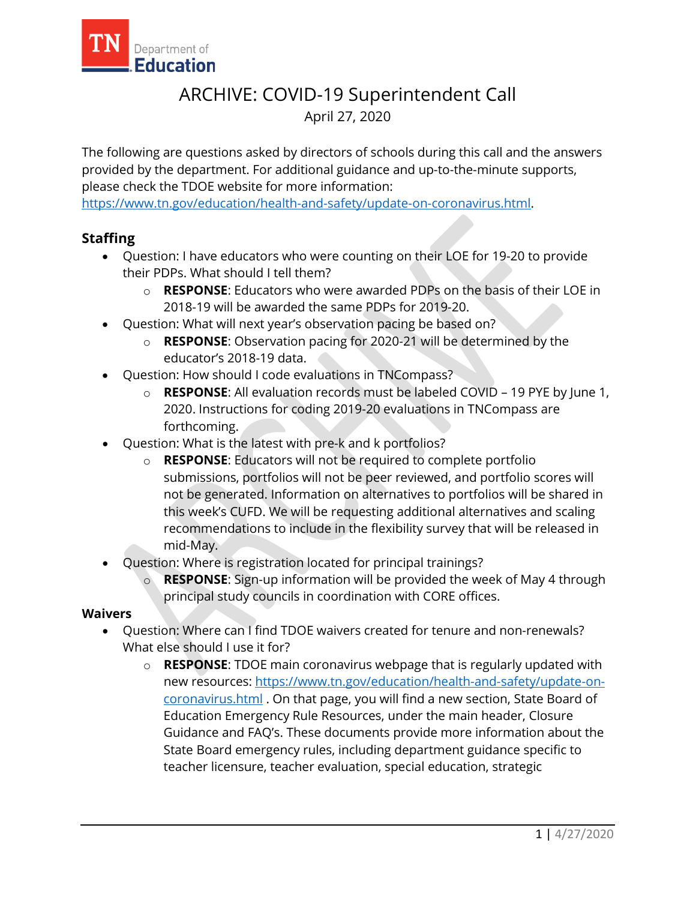

# ARCHIVE: COVID-19 Superintendent Call April 27, 2020

The following are questions asked by directors of schools during this call and the answers provided by the department. For additional guidance and up-to-the-minute supports, please check the TDOE website for more information:

[https://www.tn.gov/education/health-and-safety/update-on-coronavirus.html.](https://www.tn.gov/education/health-and-safety/update-on-coronavirus.html)

# **Staffing**

- Question: I have educators who were counting on their LOE for 19-20 to provide their PDPs. What should I tell them?
	- o **RESPONSE**: Educators who were awarded PDPs on the basis of their LOE in 2018-19 will be awarded the same PDPs for 2019-20.
- Question: What will next year's observation pacing be based on?
	- o **RESPONSE**: Observation pacing for 2020-21 will be determined by the educator's 2018-19 data.
- Question: How should I code evaluations in TNCompass?
	- o **RESPONSE**: All evaluation records must be labeled COVID 19 PYE by June 1, 2020. Instructions for coding 2019-20 evaluations in TNCompass are forthcoming.
- Question: What is the latest with pre-k and k portfolios?
	- o **RESPONSE**: Educators will not be required to complete portfolio submissions, portfolios will not be peer reviewed, and portfolio scores will not be generated. Information on alternatives to portfolios will be shared in this week's CUFD. We will be requesting additional alternatives and scaling recommendations to include in the flexibility survey that will be released in mid-May.
- Question: Where is registration located for principal trainings?
	- o **RESPONSE**: Sign-up information will be provided the week of May 4 through principal study councils in coordination with CORE offices.

### **Waivers**

- Question: Where can I find TDOE waivers created for tenure and non-renewals? What else should I use it for?
	- o **RESPONSE**: TDOE main coronavirus webpage that is regularly updated with new resources: [https://www.tn.gov/education/health-and-safety/update-on](https://www.tn.gov/education/health-and-safety/update-on-coronavirus.html)[coronavirus.html](https://www.tn.gov/education/health-and-safety/update-on-coronavirus.html) . On that page, you will find a new section, State Board of Education Emergency Rule Resources, under the main header, Closure Guidance and FAQ's. These documents provide more information about the State Board emergency rules, including department guidance specific to teacher licensure, teacher evaluation, special education, strategic